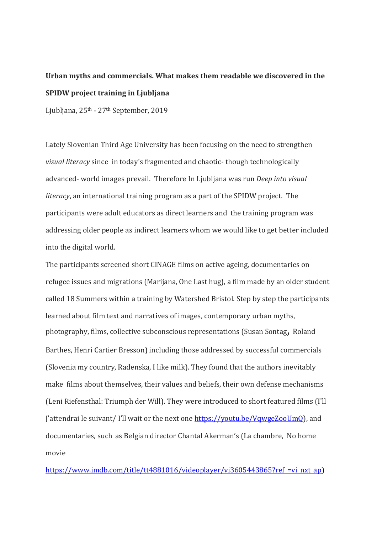## **Urban myths and commercials. What makes them readable we discovered in the SPIDW project training in Ljubljana**

Ljubljana, 25th - 27th September, 2019

Lately Slovenian Third Age University has been focusing on the need to strengthen *visual literacy* since in today's fragmented and chaotic- though technologically advanced- world images prevail. Therefore In Ljubljana was run *Deep into visual literacy*, an international training program as a part of the SPIDW project. The participants were adult educators as direct learners and the training program was addressing older people as indirect learners whom we would like to get better included into the digital world.

The participants screened short CINAGE films on active ageing, documentaries on refugee issues and migrations (Marijana, One Last hug), a film made by an older student called 18 Summers within a training by Watershed Bristol. Step by step the participants learned about film text and narratives of images, contemporary urban myths, photography, films, collective subconscious representations (Susan Sontag, Roland Barthes, Henri Cartier Bresson) including those addressed by successful commercials (Slovenia my country, Radenska, I like milk). They found that the authors inevitably make films about themselves, their values and beliefs, their own defense mechanisms (Leni Riefensthal: Triumph der Will). They were introduced to short featured films (I'll J'attendrai le suivant/ I'll wait or the next one [https://youtu.be/VqwgeZooUmQ\)](https://youtu.be/VqwgeZooUmQ), and documentaries, such as Belgian director Chantal Akerman's (La chambre, No home movie

https://www.imdb.com/title/tt4881016/videoplayer/vi3605443865?ref =vi\_nxt\_ap)